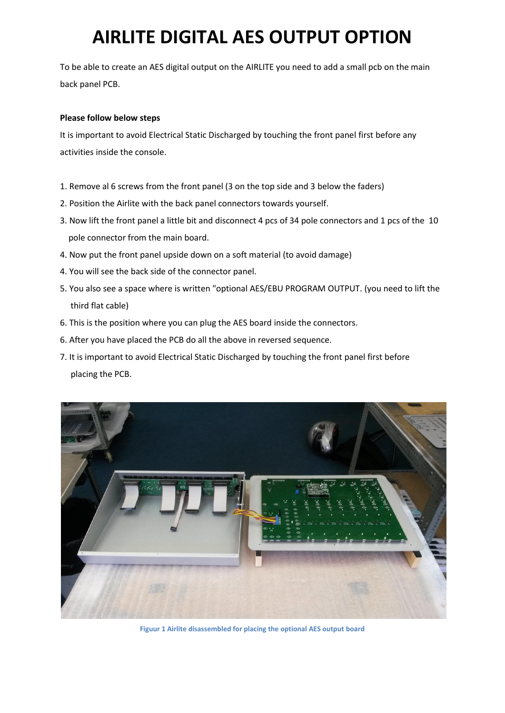## **AIRLITE DIGITAL AES OUTPUT OPTION**

To be able to create an AES digital output on the AIRLITE you need to add a small pcb on the main back panel PCB.

## **Please follow below steps**

It is important to avoid Electrical Static Discharged by touching the front panel first before any activities inside the console.

- 1. Remove al 6 screws from the front panel (3 on the top side and 3 below the faders)
- 2. Position the Airlite with the back panel connectors towards yourself.
- 3. Now lift the front panel a little bit and disconnect 4 pcs of 34 pole connectors and 1 pcs of the 10 pole connector from the main board.
- 4. Now put the front panel upside down on a soft material (to avoid damage)
- 4. You will see the back side of the connector panel.
- 5. You also see a space where is written "optional AES/EBU PROGRAM OUTPUT. (you need to lift the third flat cable)
- 6. This is the position where you can plug the AES board inside the connectors.
- 6. After you have placed the PCB do all the above in reversed sequence.
- 7. It is important to avoid Electrical Static Discharged by touching the front panel first before placing the PCB.



**Figuur 1 Airlite disassembled for placing the optional AES output board**